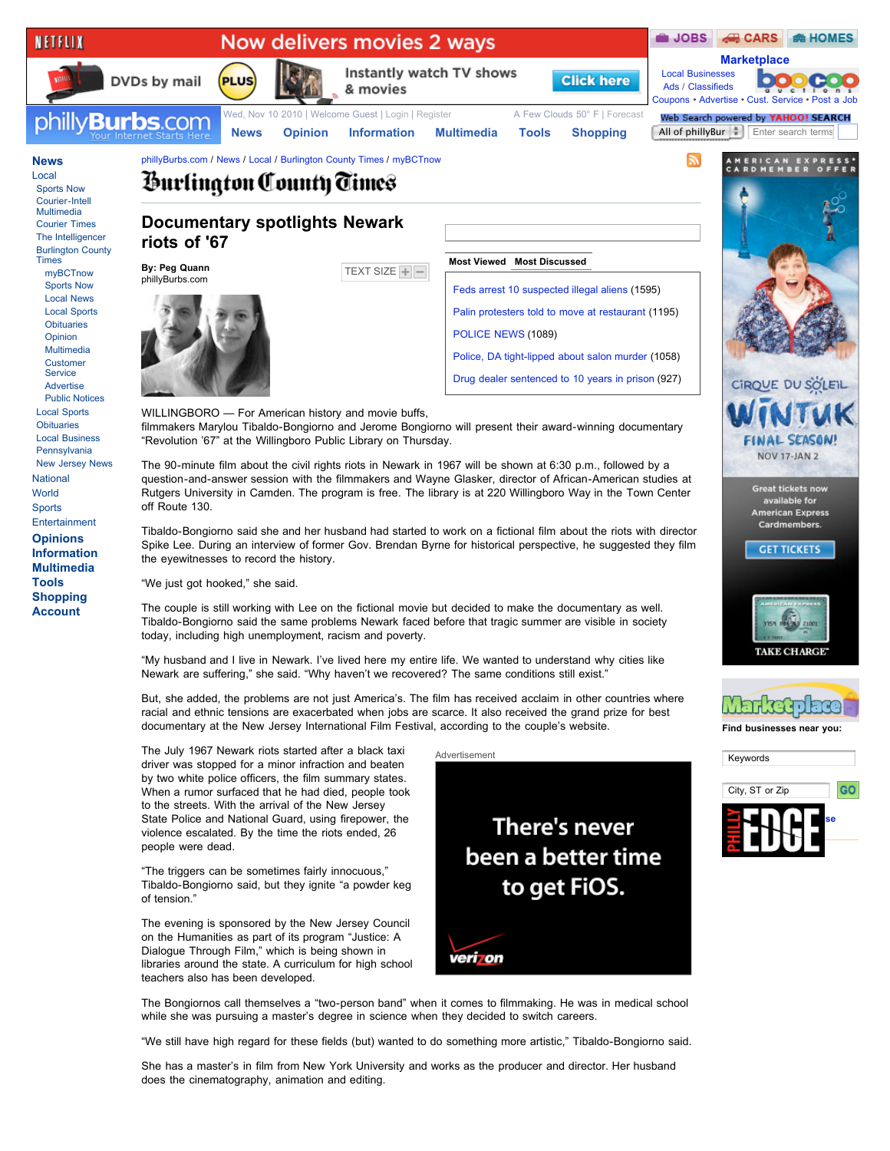

The evening is sponsored by the New Jersey Council on the Humanities as part of its program "Justice: A Dialogue Through Film," which is being shown in libraries around the state. A curriculum for high school teachers also has been developed.

veri on

The Bongiornos call themselves a "two-person band" when it comes to filmmaking. He was in medical school

"We still have high regard for these fields (but) wanted to do something more artistic," Tibaldo-Bongiorno said.

while she was pursuing a master's degree in science when they decided to switch careers.

She has a master's in film from New York University and works as the producer and director. Her husband does the cinematography, animation and editing.